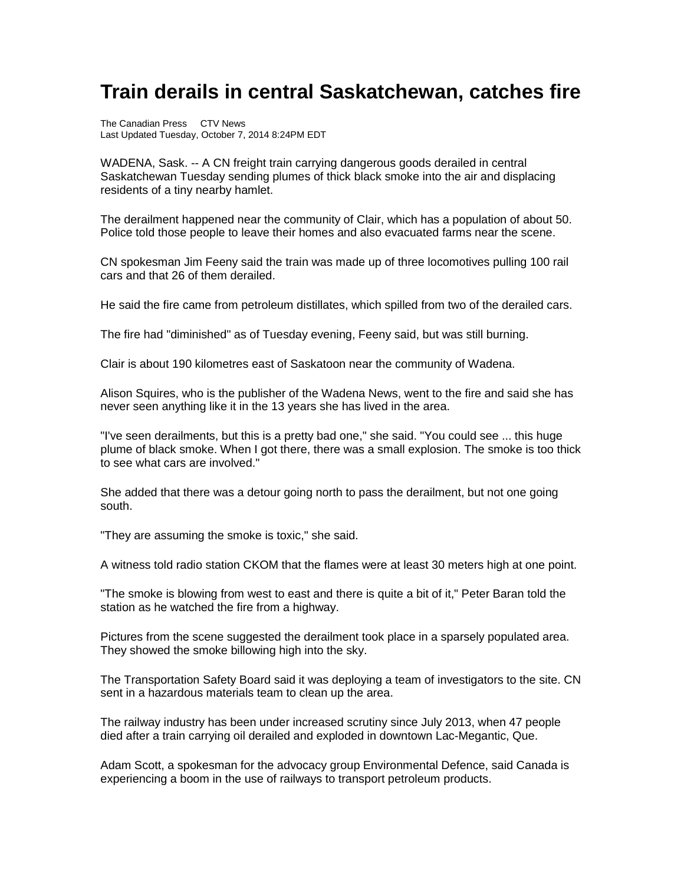## **Train derails in central Saskatchewan, catches fire**

The Canadian Press CTV News Last Updated Tuesday, October 7, 2014 8:24PM EDT

WADENA, Sask. -- A CN freight train carrying dangerous goods derailed in central Saskatchewan Tuesday sending plumes of thick black smoke into the air and displacing residents of a tiny nearby hamlet.

The derailment happened near the community of Clair, which has a population of about 50. Police told those people to leave their homes and also evacuated farms near the scene.

CN spokesman Jim Feeny said the train was made up of three locomotives pulling 100 rail cars and that 26 of them derailed.

He said the fire came from petroleum distillates, which spilled from two of the derailed cars.

The fire had "diminished" as of Tuesday evening, Feeny said, but was still burning.

Clair is about 190 kilometres east of Saskatoon near the community of Wadena.

Alison Squires, who is the publisher of the Wadena News, went to the fire and said she has never seen anything like it in the 13 years she has lived in the area.

"I've seen derailments, but this is a pretty bad one," she said. "You could see ... this huge plume of black smoke. When I got there, there was a small explosion. The smoke is too thick to see what cars are involved."

She added that there was a detour going north to pass the derailment, but not one going south.

"They are assuming the smoke is toxic," she said.

A witness told radio station CKOM that the flames were at least 30 meters high at one point.

"The smoke is blowing from west to east and there is quite a bit of it," Peter Baran told the station as he watched the fire from a highway.

Pictures from the scene suggested the derailment took place in a sparsely populated area. They showed the smoke billowing high into the sky.

The Transportation Safety Board said it was deploying a team of investigators to the site. CN sent in a hazardous materials team to clean up the area.

The railway industry has been under increased scrutiny since July 2013, when 47 people died after a train carrying oil derailed and exploded in downtown Lac-Megantic, Que.

Adam Scott, a spokesman for the advocacy group Environmental Defence, said Canada is experiencing a boom in the use of railways to transport petroleum products.